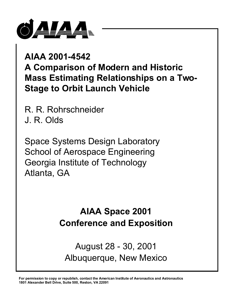

# **AIAA 2001-4542 A Comparison of Modern and Historic Mass Estimating Relationships on a Two-Stage to Orbit Launch Vehicle**

R. R. Rohrschneider J. R. Olds

Space Systems Design Laboratory School of Aerospace Engineering Georgia Institute of Technology Atlanta, GA

# **AIAA Space 2001 Conference and Exposition**

August 28 - 30, 2001 Albuquerque, New Mexico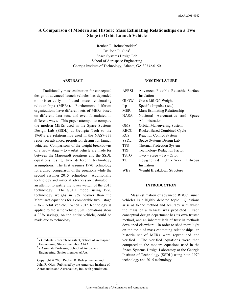# **A Comparison of Modern and Historic Mass Estimating Relationships on a Two Stage to Orbit Launch Vehicle**

Reuben R. Rohrschneider\* Dr. John R. Olds† Space Systems Design Lab School of Aerospace Engineering Georgia Institute of Technology, Atlanta, GA 30332-0150

#### **ABSTRACT**

Traditionally mass estimation for conceptual design of advanced launch vehicles has depended on historically – based mass estimating relationships (MERs). Furthermore different organizations have different sets of MERs based on different data sets, and even formulated in different ways. This paper attempts to compare the modern MERs used in the Space Systems Design Lab (SSDL) at Georgia Tech to the 1960's era relationships used in the NAS7-377 report on advanced propulsion design for launch vehicles. Comparisons of the weight breakdowns of a two – stage – to – orbit vehicle are made for between the Marquardt equations and the SSDL equations using two different technology assumptions. The first assumes 1970 technology for a direct comparison of the equations while the second assumes 2015 technology. Additionally technology and material advances are estimated in an attempt to justify the lower weight of the 2015 technology. The SSDL model using 1970 technology weighs in 7% heavier than the Marquardt equations for a comparable two – stage – to – orbit vehicle. When 2015 technology is applied to the same vehicle SSDL equations show a 33% savings, on the entire vehicle, could be made due to technology.

\_\_\_\_\_\_\_\_\_\_\_\_\_\_\_\_\_\_\_\_\_\_\_\_\_\_\_\_\_\_

#### **NOMENCLATURE**

| <b>AFRSI</b> | Advanced Flexible Reusable Surface  |
|--------------|-------------------------------------|
|              | Insulation                          |
| <b>GLOW</b>  | Gross Lift-Off Weight               |
| Isp          | Specific Impulse (sec.)             |
| <b>MER</b>   | <b>Mass Estimating Relationship</b> |
| NASA         | National Aeronautics and<br>Space   |
|              | Administration                      |
| <b>OMS</b>   | <b>Orbital Maneuvering System</b>   |
| RBCC         | Rocket Based Combined Cycle         |
| <b>RCS</b>   | <b>Reaction Control System</b>      |
| SSDL         | Space Systems Design Lab            |
| TPS          | <b>Thermal Protection System</b>    |
| <b>TRF</b>   | <b>Technology Reduction Factor</b>  |
| <b>TSTO</b>  | $Two-Stage - To - Oribt$            |
| <b>TUFI</b>  | Fibrous<br>Toughened Uni-Piece      |
|              | Insulation                          |
| WBS          | Weight Breakdown Structure          |

#### **INTRODUCTION**

Mass estimation of advanced RBCC launch vehicles is a highly debated topic. Questions arise as to the method and accuracy with which the mass of a vehicle was predicted. Each conceptual design department has its own trusted method, and an inherent lack of trust in methods developed elsewhere. In order to shed more light on the topic of mass estimating relationships, an historic set of MERs were reproduced and verified. The verified equations were then compared to the modern equations used in the Space Systems Design Laboratory at the Georgia Institute of Technology (SSDL) using both 1970 technology and 2015 technology.

<sup>\*</sup> - Graduate Research Assistant, School of Aerospace Engineering, Student member AIAA.

<sup>†</sup> - Associate Professor, School of Aerospace Engineering, Senior member AIAA.

Copyright  $© 2001$  Reuben R. Rohrschneider and John R. Olds. Published by the American Institute of Aeronautics and Astronautics, Inc. with permission.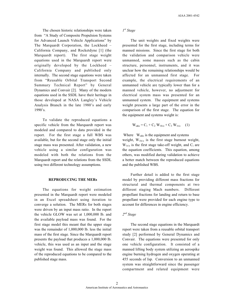The chosen historic relationships were taken from "A Study of Composite Propulsion Systems for Advanced Launch Vehicle Applications" by The Marquardt Corporation, the Lockheed – California Company, and Rocketdyne [1] (the Marquardt report). The first stage weight equations used in the Marquardt report were originally developed by the Lockheed – California Company and published only internally. The second stage equations were taken from "Reusable Orbital Transport Second Summary Technical Report" by General Dynamics and Convair [2]. Many of the modern equations used in the SSDL have their heritage in those developed at NASA Langley's Vehicle Analysis Branch in the late 1980's and early 1990's.

To validate the reproduced equations a specific vehicle from the Marquardt report was modeled and compared to data provided in the report. For the first stage a full WBS was available, but for the second stage only the initial stage mass was presented. After validation, a new vehicle using a similar configuration was modeled with both the relations from the Marquardt report and the relations from the SSDL using two different technology assumptions.

## **REPRODUCING THE MERs**

The equations for weight estimation presented in the Marquardt report were modeled in an Excel spreadsheet using iteration to converge a solution. The MERs for both stages were driven by an input mass ratio. In the report the vehicle GLOW was set at 1,000,000 lb. and the available payload mass was found. For the first stage model this meant that the upper stage was the remainder of 1,000,000 lb. less the initial mass of the first stage. Since the Marquardt report presents the payload that produces a 1,000,000 lb. vehicle, this was used as an input and the stage weight was found. This allowed the stage mass of the reproduced equations to be compared to the published stage mass.

#### *1st Stage*

The unit weights and fixed weights were presented for the first stage, including terms for manned missions. Since the first stage for both the validation and comparison vehicle were unmanned, some masses such as the cabin structure, personnel, instruments, and it was unclear how the remaining relationships would be affected for an unmanned first stage. For example, the electrical requirements of an unmanned vehicle are typically lower than for a manned vehicle, however, no adjustment for electrical system mass was presented for an unmanned system. The equipment and systems weight presents a large part of the error in the comparison of the first stage. The equation for the equipment and systems weight is:

$$
W_{\text{e\&s}} = C_1 + C_2 W_{1b/o} + C_3 W_{1t/o} \quad (1)
$$

Where  $W_{\text{eAs}}$  is the equipment and systems weight, W1b/o is the first stage burnout weight,  $W_{1t/0}$  is the first stage take-off weight, and  $C_i$  are the equation coefficients. This equation, among others, was modified during validation to achieve a better match between the reproduced equations and the published WBS.

Further detail is added to the first stage model by providing different mass fractions for structural and thermal components at two different staging Mach numbers. Different propellant fractions for landing and return to base propellant were provided for each engine type to account for differences in engine efficiency.

## *2nd Stage*

The second stage equations in the Marquardt report were taken from a reusable orbital transport study [2] performed by General Dynamics and Convair. The equations were presented for only one vehicle configuration. It consisted of a manned lifting body system utilizing an aerospike engine burning hydrogen and oxygen operating at 455 seconds of Isp. Conversion to an unmanned system was straightforward since the passenger compartment and related equipment were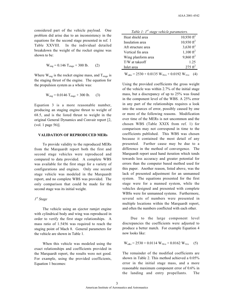considered part of the vehicle payload. One problem did arise due to an inconsistency in the equations for the second stage presented in ref. 1 Table XXVIII. In the individual detailed breakdown the weight of the rocket engine was shown to be:

$$
W_{eng} = 0.146 T_{stage} + 300 lb. \t(2)
$$

Where  $W_{eng}$  is the rocket engine mass, and  $T_{stage}$  is the staging thrust of the engine. The equation for the propulsion system as a whole was:

$$
W_{eng} = 0.0146 T_{stage} + 300 lb. \tag{3}
$$

Equation 3 is a more reasonable number, producing an staging engine thrust to weight of 68.5, and is the listed thrust to weight in the original General Dynamics and Convair report [2, (vol. 1 page 56)].

### **VALIDATION OF REPRODUCED MERs**

To provide validity to the reproduced MERs from the Marquardt report both the first and second stage vehicles were reproduced and compared to data provided. A complete WBS was available for the first stage for a variety of configurations and engines. Only one second stage vehicle was modeled in the Marquardt report, and no complete WBS was provided. The only comparison that could be made for the second stage was its initial weight.

#### *1st Stage*

The vehicle using an ejector ramjet engine with cylindrical body and wing was reproduced in order to verify the first stage relationships. A mass ratio of 1.5456 was required to reach the staging point of Mach 8. General parameters for the vehicle are shown in Table 1.

When this vehicle was modeled using the exact relationships and coefficients provided in the Marquardt report, the results were not good. For example, using the provided coefficients, Equation 1 becomes:

| Table 1: $I^{st}$ stage vehicle parameters. |                      |
|---------------------------------------------|----------------------|
| Heat shield area                            | 10,930 $\rm ft^2$    |
| Insulation area                             | 10,930 $ft^2$        |
| Aft structure area                          | 3,630 $\text{ft}^2$  |
| Vertical fin area                           | $1,100 \text{ ft}^2$ |
| Wing planform area                          | 9,860 $ft^2$         |
| T/W at takeoff                              | 1.25                 |
| Inlet area                                  | $275 \text{ ft}^2$   |
|                                             |                      |

 $W_{\text{e},\&s} = 2530 + 0.0135 W_{\text{1b}/\text{o}} + 0.0192 W_{\text{1t}/\text{o}}$  (4)

Using the provided coefficients the gross weight of the vehicle was within 2.7% of the initial stage mass, but a discrepancy of up to 25% was found in the component level of the WBS. A 25% error in any part of the relationships requires a look into the sources of error, possibly caused by one or more of the following reasons. Modification over time of the MERs is not uncommon and the chosen WBS (Table XXIX from ref. 1) for comparison may not correspond in time to the coefficients published. This WBS was chosen because it contained the most detail of any presented. Further cause may be due to a difference in the method of convergence. The Marquardt report used hand iteration which tends towards less accuracy and greater potential for errors than the computer based method used for this paper. Another reason, listed above, was the lack of presented adjustment for an unmanned system. The equations presented for the first stage were for a manned system, while the vehicles designed and presented with complete WBSs were for unmanned systems. Furthermore, several sets of numbers were presented in multiple locations within the Marquardt report, and often the numbers conflicted with each other.

Due to the large component level discrepancies the coefficients were adjusted to produce a better match. For example Equation 4 now looks like:

$$
W_{\text{e\&s}} = 2530 + 0.0114 W_{\text{1b/o}} + 0.0162 W_{\text{1to}} \quad (5)
$$

The remainder of the modified coefficients are shown in Table 2. This method achieved a 0.05% error in the initial stage mass, and a more reasonable maximum component error of 0.6% in the landing and entry propellants. The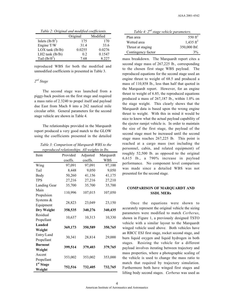| Table 2: Original and modified coefficients. |  |
|----------------------------------------------|--|
|----------------------------------------------|--|

|                      | Original | Modified |
|----------------------|----------|----------|
| Inlets $(lb/ft^2)$   | 175      | 170      |
| Engine T/W           | 31.4     | 33.6     |
| $LOX$ tank $(lb/lb)$ | 0.0255   | 0.0276   |
| $LH2$ tank $(lb/lb)$ | 0.2      | 0.1547   |
| Tail $(lb/ft^2)$     | 7.68     | 8 227    |

reproduced WBS for both the modified and unmodified coefficients is presented in Table 3.

#### *2nd Stage*

The second stage was launched from a piggy-back position on the first stage and required a mass ratio of 2.3240 to propel itself and payload due East from Mach 8 into a 262 nautical mile circular orbit. General parameters for the second stage vehicle are shown in Table 4.

The relationships provided in the Marquardt report produced a very good match to the GLOW using the coefficients presented in the detailed

*Table 3: Comparison of Marquardt WBS to the reproduced relationships. All weights in lbs.*

| Item                  | Provided | Adjusted | Marquardt  |
|-----------------------|----------|----------|------------|
|                       | coeffs.  | coeffs.  | <b>WBS</b> |
| Wing                  | 97,091   | 97,091   | 97,100     |
| Tail                  | 8,448    | 9,050    | 9,050      |
| Body                  | 50,260   | 41,156   | 41,175     |
| <b>TPS</b>            | 27,216   | 27,216   | 27,210     |
| Landing Gear          | 35,700   | 35,700   | 35,700     |
| Main                  | 110,996  | 107,015  | 107,050    |
| Propulsion            |          |          |            |
| Systems &             | 28,823   | 23,049   | 23,150     |
| Equipment             |          |          |            |
| Dry Weight            | 358,535  | 340,276  | 340,435    |
| Residual              | 10,637   | 10,313   | 10,330     |
| Propellant            |          |          |            |
| Landed                | 369,173  | 350,589  | 350,765    |
| Weight                |          |          |            |
| Entry/Land            | 30,341   | 28,814   | 29,000     |
| Propellant            |          |          |            |
| <b>Burnout</b>        | 399,514  | 379,403  | 379,765    |
| Weight                |          |          |            |
| Ascent                | 353,002  | 353,002  | 353,000    |
| Propellant            |          |          |            |
| 1 <sup>st</sup> Stage | 752,516  | 732,405  | 732,765    |
| Weight                |          |          |            |

| Table 4: $2^{nd}$ stage vehicle parameters. |                   |
|---------------------------------------------|-------------------|
| Plan area                                   | 550 $ft^2$        |
| Wetted area                                 | 1,435 $\rm{ft}^2$ |
| Thrust at staging                           | 350,000 lbf.      |
| Contingency factor                          | 3%                |

mass breakdown. The Marquardt report cites a second stage mass of 267,225 lb., corresponding to the chosen first stage WBS payload. The reproduced equations for the second stage used an engine thrust to weight of 68.5 and produced a mass of 110,858 lb., less than half that quoted in the Marquardt report. However, for an engine thrust to weight of 6.85, the reproduced equations produced a mass of 267,187 lb., within 1.0% on the stage weight. This clearly shows that the Marquardt data is based upon the wrong engine thrust to weight. With this in mind it would be nice to know what the actual payload capability of the ejector ramjet vehicle is. In order to maintain the size of the first stage, the payload of the second stage must be increased until the second stage mass reaches 267,225 lb. This point is reached at a cargo mass (not including the personnel, cabin, and related equipment) of roughly 52,500 lb. as opposed to the original 6,615 lb., a 790% increase in payload performance. No component level comparison was made since a detailed WBS was not presented for the second stage.

## **COMPARISON OF MARQUARDT AND SSDL MERs**

Once the equations were shown to accurately represent the original vehicle the sizing parameters were modified to match *Cerberus*, shown in Figure 1, a previously designed TSTO vehicle with a similar layout to the Marquardt winged vehicle used above. Both vehicles have an RBCC ESJ first stage, rocket second stage, and burn liquid oxygen and liquid hydrogen in both stages. Resizing the vehicle for a different payload involves iterating between trajectory and mass properties, where a photographic scaling of the vehicle is used to change the mass ratio to match that required by trajectory simulation. Furthermore both have winged first stages and lifting body second stages. *Cerberus* was used as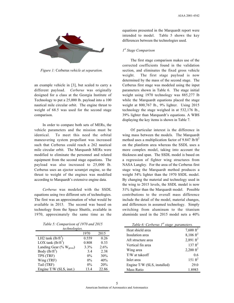

*Figure 1:* Cerberus *vehicle at separation.*

an example vehicle in [3], but scaled to carry a different payload. *Cerberus* was originally designed for a class at the Georgia Institute of Technology to put a 25,000 lb. payload into a 100 nautical mile circular orbit. The engine thrust to weight of 68.5 was used for the second stage comparison.

In order to compare both sets of MERs, the vehicle parameters and the mission must be identical. To meet this need the orbital maneuvering system propellant was increased such that Cerberus could reach a 262 nautical mile circular orbit. The Marquardt MERs were modified to eliminate the personnel and related equipment from the second stage equations. The payload was also increased to 25,000 lb. Cerberus uses an ejector scramjet engine, so the thrust to weight of the engines was modified according to Marquardt's extensive engine data.

*Cerberus* was modeled with the SSDL equations using two different sets of technologies. The first was an approximation of what would be available in 2015. The second was based on technology from the Space Shuttle, available in 1970, approximately the same time as the

*Table 5: Comparison of 1970 and 2015 technologies.*

| $\cdots$                             |       |       |  |
|--------------------------------------|-------|-------|--|
|                                      | 1970  | 2015  |  |
| LH2 tank $(lb/ft^3)$                 | 0.559 | 0.26  |  |
| LOX tank $(lb/ft^3)$                 | 0.808 | 0.33  |  |
| Landing Gear (% W <sub>gross</sub> ) | 3.3%  | 2.6%  |  |
| Body $(lb/ft^2)$                     | 3.4   | 2.38  |  |
| TPS (TRF)                            | $0\%$ | 30%   |  |
| Wing (TRF)                           | $0\%$ | 40%   |  |
| Tail (TRF)                           | $0\%$ | 20%   |  |
| Engine T/W (SLS, inst.)              | 13.4  | 22.86 |  |

equations presented in the Marquardt report were intended to model. Table 5 shows the key differences between the technologies used.

### *1st Stage Comparison*

The first stage comparison makes use of the corrected coefficients found in the validation section, and eliminates the fixed gross vehicle weight. The first stage payload is now determined by the mass of the second stage. The Cerberus first stage was modeled using the input parameters shown in Table 6. The stage initial weight using 1970 technology was 885,277 lb while the Marquardt equations placed the stage weight at 800,767 lb., 9% lighter. Using 2015 technology the stage weighed in at 532,176 lb., 39% lighter than Marquardt's equations. A WBS displaying the key items is shown in Table 7.

Of particular interest is the difference in wing mass between the models. The Marquardt method uses a multiplication factor of 9.847 lb/ $\text{ft}^2$ on the planform area whereas the SSDL uses a more complex model, taking into account the thickness and span. The SSDL model is based on a regression of fighter wing structures from NASA Langley. For the area of the Cerberus first stage wing the Marquardt method produces a weight 54% lighter than the 1970 SSDL model. By changing the material and technology used in the wing to 2015 levels, the SSDL model is now 31% lighter than the Marquardt model. Possible contributions to the overall mass difference include the detail of the model, material changes, and differences in assumed technology. Simply switching from aluminum to the titanium aluminide used in the 2015 model nets a 40%

| Table 6: Cerberus $1^{st}$ stage parameters. |                       |
|----------------------------------------------|-----------------------|
| Heat shield area                             | 7,600 $\rm ft^2$      |
| Insulation area                              | $8,106 \text{ ft}^2$  |
| Aft structure area                           | 2,891 $\mathrm{ft}^2$ |
| Vertical fin area                            | $137 \text{ ft}^2$    |
| Wing area                                    | 2,200 ft <sup>2</sup> |
| T/W at takeoff                               | 0.6                   |
| Inlet area                                   | $151 \text{ ft}^2$    |
| Engine T/W (SLS, installed)                  | 29.0                  |
| Mass Ratio                                   | 1.8983                |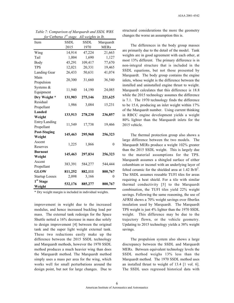| <i>for</i> Cerberus T           | stage.      | All weights in ib. |             |
|---------------------------------|-------------|--------------------|-------------|
| Item                            | <b>SSDL</b> | <b>SSDL</b>        | Marquardt   |
|                                 | 2015        | 1970               | <b>MERs</b> |
| Wing                            | 14,914      | 47,224             | 21,663      |
| Tail                            | 1,004       | 1,690              | 1,127       |
| Body                            | 45,291      | 109,417            | 77,670      |
| <b>TPS</b>                      | 12,021      | 20,331             | 19,465      |
| Landing Gear                    | 26,433      | 50,631             | 41,074      |
| Main<br>Propulsion              | 20,300      | 31,660             | 36,540      |
| Systems &<br>Equipment          | 11,940      | 14,190             | 24,085      |
| Dry Weight *                    | 131,903     | 275,146            | 221,625     |
| Residual<br>Propellant          | 1,986       | 3,084              | 15,231      |
| <b>Landed</b><br>Weight         | 133,913     | 278,230            | 236,857     |
| Entry/Landing<br>Propellant     | 11,549      | 17,738             | 19,466      |
| <b>Post-Staging</b>             | 145,463     | 295,968            | 256,323     |
| Weight                          |             |                    |             |
| Ascent<br>Reserves              | 1,225       | 1,866              | $\theta$    |
| <b>Burnout</b>                  | 145,463     | 297,834            | 256,323     |
| Weight                          |             |                    |             |
| Ascent                          | 383,391     | 584,277            | 544,444     |
| Propellant                      |             |                    |             |
| <b>GLOW</b>                     | 811,252     | 882,111            | 800,767     |
| <b>Startup Losses</b>           | 2,098       | 3,166              | 0           |
| 1 <sup>st</sup> Stage<br>Weight | 532,176     | 885,277            | 800,767     |

*Table 7: Comparison of Marquardt and SSDL WBS for* Cerberu*s 1st stage. All weights in lb.*

\* Dry weight margin is included in individual weights.

improvement in weight due to the increased modulus, and hence increased buckling load per mass. The external tank redesign for the Space Shuttle netted a 16% decrease in mass due solely to design improvement [4] between the original tank and the super light weight external tank. These two reductions easily make up the difference between the 2015 SSDL technology and Marquardt methods, however the 1970 SSDL method produces a much heavier wing than does the Marquardt method. The Marquardt method simply uses a mass per area for the wing, which works well for small perturbations around the design point, but not for large changes. Due to

structural considerations the more the geometry changes the worse an assumption this is.

The differences in the body group masses are primarily due to the detail of the model. Tank weights are in good agreement with each other, at most 13% different. The primary difference is in non-integral structure that is included in the SSDL equations, but not those presented by Marquardt. The body group contains the engine inlets, whose weight is the difference between the installed and uninstalled engine thrust to weight. Marquardt calculates that this difference is 18.8 while the 2015 technology assumes the difference is 7.1. The 1970 technology finds the difference to be 15.6, producing an inlet weight within 17% of the Marquardt number. Using current thinking in RBCC engine development yields a weight 80% lighter than the Marquardt inlets for the 2015 vehicle.

The thermal protection group also shows a large difference between the two models. The Marquardt MERs produce a weight 102% greater than the 2015 SSDL weight. This is largely due to the material assumptions for the TPS. Marquardt assumes a shingled surface of either columbium or inconel with an underlying layer of felted ceramic for the shielded area at  $1.42 \text{ lb/ft}^2$ . The SSDL assumes reusable TUFI tiles for areas requiring a heat shield. For a tile with similar thermal conductivity [5] to the Marquardt combination, the TUFI tiles yield 22% weight savings. Following the same reasoning, the use of AFRSI shows a 70% weight savings over fiberfax insulation used by Marquardt. The Marquardt TPS weight is just 4% lighter than the 1970 SSDL weight. This difference may be due to the trajectory flown, or the vehicle geometry. Updating to 2015 technology yields a 38% weight savings.

The propulsion system also shows a large discrepancy between the SSDL and Marquardt MERs. Between equivalent technology levels the SSDL method weighs 13% less than the Marquardt method. The 1970 SSDL method uses an installed thrust to weight of 13.4 [1 vol. 6]. The SSDL uses regressed historical data with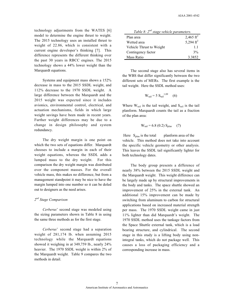technology adjustments from the WATES [6] model to determine the engine thrust to weight. The 2015 technology uses an installed thrust to weight of 22.86, which is consistent with a current engine developer's thinking [7]. This difference represents the different thinking over the past 30 years in RBCC engines. The 2015 technology shows a 44% lower weight than the Marquardt equations.

Systems and equipment mass shows a 152% decrease in mass to the 2015 SSDL weight, and 112% decrease to the 1970 SSDL weight. A large difference between the Marquardt and the 2015 weight was expected since it includes avionics, environmental control, electrical, and actuation mechanisms, fields in which large weight savings have been made in recent years. Further weight differences may be due to a change in design philosophy and system redundancy.

The dry weight margin is one point on which the two sets of equations differ. Marquardt chooses to include a margin in each of their weight equations, whereas the SSDL adds a lumped mass to the dry weight. For this comparison the dry weight margin was distributed over the component masses. For the overall vehicle mass, this makes no difference, but from a management standpoint it may be nice to have the margin lumped into one number so it can be doled out to designers as the need arises.

#### *2nd Stage Comparison*

*Cerberus*' second stage was modeled using the sizing parameters shown in Table 8 in using the same three methods as for the first stage.

*Cerberus*' second stage had a separation weight of 281,174 lb. when assuming 2015 technology while the Marquardt equations showed it weighing in at 349,759 lb., nearly 24% heavier. The 1970 SSDL weight is within 2% of the Marquardt weight. Table 9 compares the two methods in detail.

| Table 8: 2 <sup>nd</sup> stage vehicle parameters. |                       |  |  |
|----------------------------------------------------|-----------------------|--|--|
| Plan area                                          | 2,465 ft <sup>2</sup> |  |  |
| Wetted area                                        | 5,294 $ft^2$          |  |  |
| Vehicle Thrust to Weight                           | 1.1                   |  |  |
| Contingency factor                                 | 3%                    |  |  |
| Mass Ratio                                         | 3.3852                |  |  |

The second stage also has several items in the WBS that differ significantly between the two different sets of MERs. The first example is the tail weight. Here the SSDL method uses:

$$
W_{tail} = 5 S_{tail}^{1.09} \t(6)
$$

Where  $W_{tail}$  is the tail weight, and  $S_{tail}$  is the tail planform. Marquardt counts the tail as a fraction of the plan area:

$$
W_{tail} = 6.8 (0.2) S_{plan} (7)
$$

Here  $S_{\text{plan}}$  is the total planform area of the vehicle. This method does not take into account the specific vehicle geometry or other analysis. This leaves the SSDL tail significantly lighter for both technology dates.

The body group presents a difference of nearly 38% between the 2015 SSDL weight and the Marquardt weight. This weight difference can be largely made up by structural improvements in the body and tanks. The space shuttle showed an improvement of 25% in the external tank. An additional 15% improvement can be made by switching from aluminum to carbon for structural applications based on increased material strength per mass. The 1970 SSDL weight came in just 11% lighter than did Marquardt's weight. The 1970 SSDL method uses the tankage factors from the Space Shuttle external tank, which is a load bearing structure, and cylindrical. The second stage in this study is a lifting body using nonintegral tanks, which do not package well. This causes a loss of packaging efficiency and a corresponding increase in mass.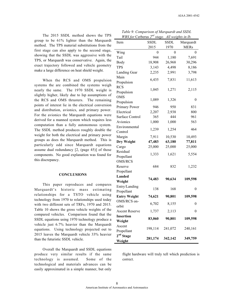The 2015 SSDL method shows the TPS group to be 61% lighter than the Marquardt method. The TPS material substitutions from the first stage can also apply to the second stage, showing that the SSDL was aggressive with the TPS, or Marquardt was conservative. Again, the exact trajectory followed and vehicle geometry make a large difference on heat shield weight.

When the RCS and OMS propulsion systems the are combined the systems weigh nearly the same. The 1970 SSDL weight is slightly higher, likely due to Isp assumptions of the RCS and OMS thrusters. The remaining points of interest lie in the electrical conversion and distribution, avionics, and primary power. For the avionics the Marquardt equations were derived for a manned system which requires less computation than a fully autonomous system. The SSDL method produces roughly double the weight for both the electrical and primary power groups as does the Marquardt method. This is particularly odd since Marquardt equations assume dual redundancy [2, (page 45)] of those components. No good explanation was found for this discrepancy.

#### **CONCLUSIONS**

This paper reproduces and compares Marquardt's historic mass estimating relationships for a TSTO vehicle using technology from 1970 to relationships used today with two different sets of TRFs, 1970 and 2015. Table 10 shows the gross vehicle weights of the compared vehicles. Comparison found that the SSDL equations using 1970 technology produce a vehicle just 6.7% heavier than the Marquardt equations. Using technology projected out to 2015 leaves the Marquardt vehicle 33% heavier than the futuristic SSDL vehicle.

Overall the Marquardt and SSDL equations produce very similar results if the same technology is assumed. Some of the technological and materials advances can be easily approximated in a simple manner, but only

| Item                   | <b>SSDL</b> | SSDL    | Marquardt      |
|------------------------|-------------|---------|----------------|
|                        | 2015        | 1970    | <b>MERs</b>    |
| Wing                   | 0           | 0       | $\overline{0}$ |
| Tail                   | 944         | 1,180   | 7,691          |
| Body                   | 18,908      | 26,968  | 30,296         |
| <b>TPS</b>             | 3,143       | 4,498   | 8,186          |
| Landing Gear           | 2,235       | 2,991   | 3,798          |
| Main                   |             |         |                |
| Propulsion             | 6,435       | 7,831   | 11,613         |
| <b>RCS</b>             |             |         |                |
| Propulsion             | 1,045       | 1,271   | 2,115          |
| <b>OMS</b>             |             |         |                |
| Propulsion             | 1,089       | 1,326   | $\overline{0}$ |
| Primary Power          | 946         | 950     | 831            |
| Electrical             | 2,207       | 2,938   | 800            |
| <b>Surface Control</b> | 365         | 444     | 961            |
| Avionics               | 1,000       | 1,000   | 563            |
| Environmental          |             |         |                |
| Control                | 1,239       | 1,254   | 464            |
| Margin                 | 7,911       | 10,530  | 10,493         |
| Dry Weight             | 47,483      | 63,180  | 77,811         |
| Cargo                  | 25,000      | 25,000  | 25,000         |
| Residual               |             |         |                |
| Propellant             | 1,333       | 1,621   | 5,554          |
| <b>OMS/RCS</b>         |             |         |                |
| Reserve                | 684         | 832     | 1,232          |
| Propellant             |             |         |                |
| Landed                 |             |         |                |
| Weight                 | 74,483      | 90,634  | 109,598        |
| Entry/Landing          | 138         |         |                |
| Propellant             |             | 168     | 0              |
| <b>Entry Weight</b>    | 74,621      | 90,801  | 109,598        |
| OMS/RCS on-            |             | 8,155   |                |
| orbit                  | 6,702       |         | 0              |
| Ascent Reserve         | 1,737       | 2,113   | 0              |
| <b>Insertion</b>       |             |         | 109,598        |
| Weight                 | 83,060      | 90,801  |                |
| Ascent                 | 198,114     | 241,072 | 240,161        |
| Propellant             |             |         |                |
| 2 <sup>nd</sup> Stage  | 281,174     | 342,142 | 349,759        |
| Weight                 |             |         |                |

*Table 9: Comparison of Marquardt and SSDL WBS for* Cerberus *2nd stage. All weights in lb.*

flight hardware will truly tell which prediction is correct.